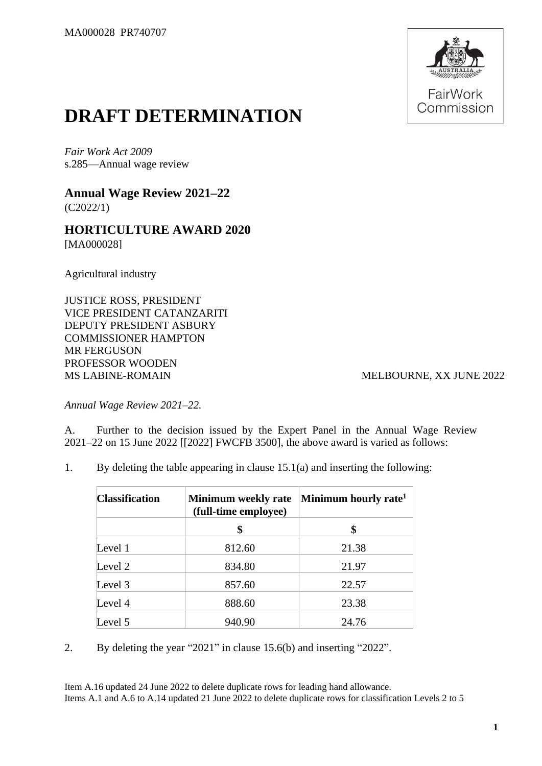

## **DRAFT DETERMINATION**

*Fair Work Act 2009* s.285—Annual wage review

## **Annual Wage Review 2021–22** (C2022/1)

## **HORTICULTURE AWARD 2020** [MA000028]

Agricultural industry

JUSTICE ROSS, PRESIDENT VICE PRESIDENT CATANZARITI DEPUTY PRESIDENT ASBURY COMMISSIONER HAMPTON MR FERGUSON PROFESSOR WOODEN MS LABINE-ROMAIN MELBOURNE, XX JUNE 2022

*Annual Wage Review 2021–22.*

A. Further to the decision issued by the Expert Panel in the Annual Wage Review 2021–22 on 15 June 2022 [[2022] FWCFB 3500], the above award is varied as follows:

1. By deleting the table appearing in clause 15.1(a) and inserting the following:

| <b>Classification</b> | <b>Minimum weekly rate</b><br>(full-time employee) | Minimum hourly rate <sup>1</sup> |  |
|-----------------------|----------------------------------------------------|----------------------------------|--|
|                       | \$                                                 | \$                               |  |
| Level 1               | 812.60                                             | 21.38                            |  |
| Level 2               | 834.80                                             | 21.97                            |  |
| Level 3               | 857.60                                             | 22.57                            |  |
| Level 4               | 888.60                                             | 23.38                            |  |
| Level 5               | 940.90                                             | 24.76                            |  |

2. By deleting the year "2021" in clause 15.6(b) and inserting "2022".

Item A.16 updated 24 June 2022 to delete duplicate rows for leading hand allowance. Items A.1 and A.6 to A.14 updated 21 June 2022 to delete duplicate rows for classification Levels 2 to 5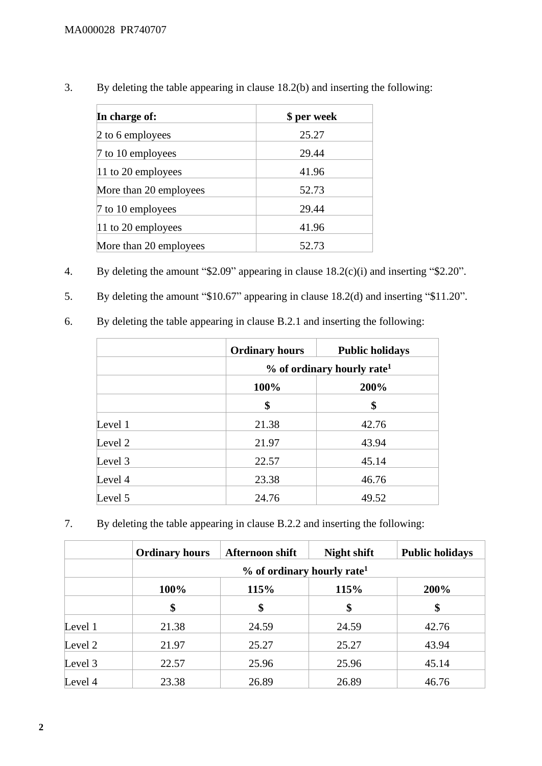3. By deleting the table appearing in clause 18.2(b) and inserting the following:

| In charge of:          | \$ per week |
|------------------------|-------------|
| 2 to 6 employees       | 25.27       |
| 7 to 10 employees      | 29.44       |
| 11 to 20 employees     | 41.96       |
| More than 20 employees | 52.73       |
| 7 to 10 employees      | 29.44       |
| 11 to 20 employees     | 41.96       |
| More than 20 employees | 52.73       |

- 4. By deleting the amount "\$2.09" appearing in clause 18.2(c)(i) and inserting "\$2.20".
- 5. By deleting the amount "\$10.67" appearing in clause 18.2(d) and inserting "\$11.20".
- 6. By deleting the table appearing in clause B.2.1 and inserting the following:

|         | <b>Ordinary hours</b> | <b>Public holidays</b>                   |
|---------|-----------------------|------------------------------------------|
|         |                       | $%$ of ordinary hourly rate <sup>1</sup> |
|         | 100%                  | 200%                                     |
|         | \$                    | \$                                       |
| Level 1 | 21.38                 | 42.76                                    |
| Level 2 | 21.97                 | 43.94                                    |
| Level 3 | 22.57                 | 45.14                                    |
| Level 4 | 23.38                 | 46.76                                    |
| Level 5 | 24.76                 | 49.52                                    |

7. By deleting the table appearing in clause B.2.2 and inserting the following:

|         | <b>Ordinary hours</b> | <b>Afternoon shift</b>                 | Night shift | <b>Public holidays</b> |  |  |  |  |
|---------|-----------------------|----------------------------------------|-------------|------------------------|--|--|--|--|
|         |                       | % of ordinary hourly rate <sup>1</sup> |             |                        |  |  |  |  |
|         | 100%                  | 115%                                   | 115%        | 200%                   |  |  |  |  |
|         | \$                    | \$                                     | \$          | \$                     |  |  |  |  |
| Level 1 | 21.38                 | 24.59                                  | 24.59       | 42.76                  |  |  |  |  |
| Level 2 | 21.97                 | 25.27                                  | 25.27       | 43.94                  |  |  |  |  |
| Level 3 | 22.57                 | 25.96                                  | 25.96       | 45.14                  |  |  |  |  |
| Level 4 | 23.38                 | 26.89                                  | 26.89       | 46.76                  |  |  |  |  |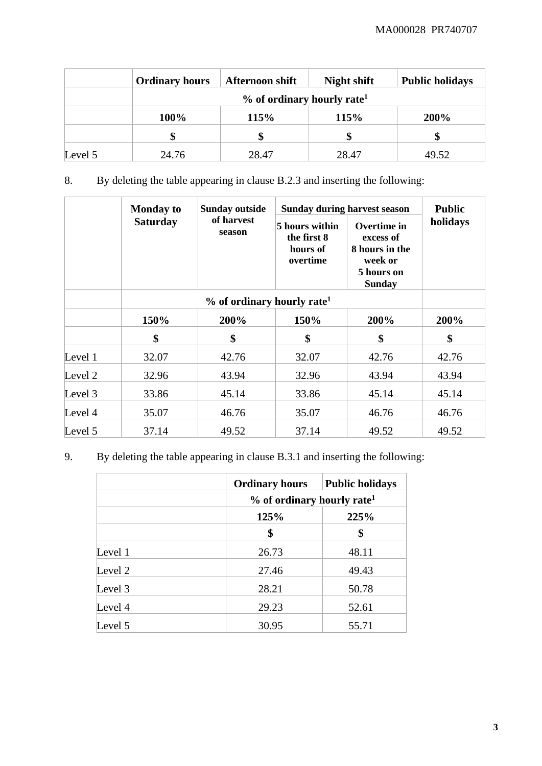|         | <b>Ordinary hours</b> | <b>Afternoon shift</b>                 | Night shift | <b>Public holidays</b> |
|---------|-----------------------|----------------------------------------|-------------|------------------------|
|         |                       | % of ordinary hourly rate <sup>1</sup> |             |                        |
|         | 100%                  | 115%                                   | 115%        | 200%                   |
|         |                       |                                        |             |                        |
| Level 5 | 24.76                 | 28.47                                  | 28.47       | 49.52                  |

8. By deleting the table appearing in clause B.2.3 and inserting the following:

|         | <b>Monday to</b>                         | <b>Sunday outside</b> | <b>Sunday during harvest season</b>                   | <b>Public</b>                                                                               |          |  |
|---------|------------------------------------------|-----------------------|-------------------------------------------------------|---------------------------------------------------------------------------------------------|----------|--|
|         | <b>Saturday</b>                          | of harvest<br>season  | 5 hours within<br>the first 8<br>hours of<br>overtime | <b>Overtime in</b><br>excess of<br>8 hours in the<br>week or<br>5 hours on<br><b>Sunday</b> | holidays |  |
|         | $%$ of ordinary hourly rate <sup>1</sup> |                       |                                                       |                                                                                             |          |  |
|         | 150%                                     | 200%                  | 150%                                                  | 200%                                                                                        | 200%     |  |
|         | \$                                       | \$                    | \$                                                    | \$                                                                                          | \$       |  |
| Level 1 | 32.07                                    | 42.76                 | 32.07                                                 | 42.76                                                                                       | 42.76    |  |
| Level 2 | 32.96                                    | 43.94                 | 32.96                                                 | 43.94                                                                                       | 43.94    |  |
| Level 3 | 33.86                                    | 45.14                 | 33.86                                                 | 45.14                                                                                       | 45.14    |  |
| Level 4 | 35.07                                    | 46.76                 | 35.07                                                 | 46.76                                                                                       | 46.76    |  |
| Level 5 | 37.14                                    | 49.52                 | 37.14                                                 | 49.52                                                                                       | 49.52    |  |

9. By deleting the table appearing in clause B.3.1 and inserting the following:

|         | <b>Ordinary hours</b> | <b>Public holidays</b>                   |  |  |  |
|---------|-----------------------|------------------------------------------|--|--|--|
|         |                       | $%$ of ordinary hourly rate <sup>1</sup> |  |  |  |
|         | 125%                  | 225%                                     |  |  |  |
|         | \$                    | \$                                       |  |  |  |
| Level 1 | 26.73                 | 48.11                                    |  |  |  |
| Level 2 | 27.46                 | 49.43                                    |  |  |  |
| Level 3 | 28.21                 | 50.78                                    |  |  |  |
| Level 4 | 29.23                 | 52.61                                    |  |  |  |
| Level 5 | 30.95                 | 55.71                                    |  |  |  |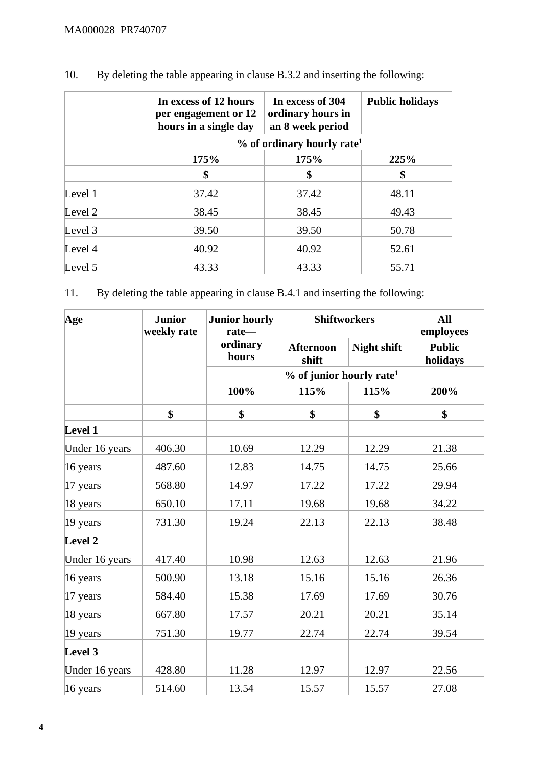|         | In excess of 12 hours<br>per engagement or 12<br>hours in a single day | In excess of 304<br>ordinary hours in<br>an 8 week period | <b>Public holidays</b> |
|---------|------------------------------------------------------------------------|-----------------------------------------------------------|------------------------|
|         |                                                                        | $%$ of ordinary hourly rate <sup>1</sup>                  |                        |
|         | 175%                                                                   | 175%                                                      | 225%                   |
|         | \$                                                                     | \$                                                        | \$                     |
| Level 1 | 37.42                                                                  | 37.42                                                     | 48.11                  |
| Level 2 | 38.45                                                                  | 38.45                                                     | 49.43                  |
| Level 3 | 39.50                                                                  | 39.50                                                     | 50.78                  |
| Level 4 | 40.92                                                                  | 40.92                                                     | 52.61                  |
| Level 5 | 43.33                                                                  | 43.33                                                     | 55.71                  |

10. By deleting the table appearing in clause B.3.2 and inserting the following:

11. By deleting the table appearing in clause B.4.1 and inserting the following:

| Age                  | <b>Junior</b><br>weekly rate | <b>Junior hourly</b><br>rate- | <b>Shiftworkers</b>                    |                    | <b>All</b><br>employees   |
|----------------------|------------------------------|-------------------------------|----------------------------------------|--------------------|---------------------------|
|                      |                              | ordinary<br>hours             | <b>Afternoon</b><br>shift              | <b>Night shift</b> | <b>Public</b><br>holidays |
|                      |                              |                               | $%$ of junior hourly rate <sup>1</sup> |                    |                           |
|                      |                              | 100%                          | 115%                                   | 115%               | 200%                      |
|                      | \$                           | \$                            | \$                                     | \$                 | \$                        |
| Level 1              |                              |                               |                                        |                    |                           |
| Under 16 years       | 406.30                       | 10.69                         | 12.29                                  | 12.29              | 21.38                     |
| 16 years             | 487.60                       | 12.83                         | 14.75                                  | 14.75              | 25.66                     |
| $ 17 \text{ years} $ | 568.80                       | 14.97                         | 17.22                                  | 17.22              | 29.94                     |
| 18 years             | 650.10                       | 17.11                         | 19.68                                  | 19.68              | 34.22                     |
| 19 years             | 731.30                       | 19.24                         | 22.13                                  | 22.13              | 38.48                     |
| Level 2              |                              |                               |                                        |                    |                           |
| Under 16 years       | 417.40                       | 10.98                         | 12.63                                  | 12.63              | 21.96                     |
| 16 years             | 500.90                       | 13.18                         | 15.16                                  | 15.16              | 26.36                     |
| $17$ years           | 584.40                       | 15.38                         | 17.69                                  | 17.69              | 30.76                     |
| 18 years             | 667.80                       | 17.57                         | 20.21                                  | 20.21              | 35.14                     |
| 19 years             | 751.30                       | 19.77                         | 22.74                                  | 22.74              | 39.54                     |
| Level 3              |                              |                               |                                        |                    |                           |
| Under 16 years       | 428.80                       | 11.28                         | 12.97                                  | 12.97              | 22.56                     |
| 16 years             | 514.60                       | 13.54                         | 15.57                                  | 15.57              | 27.08                     |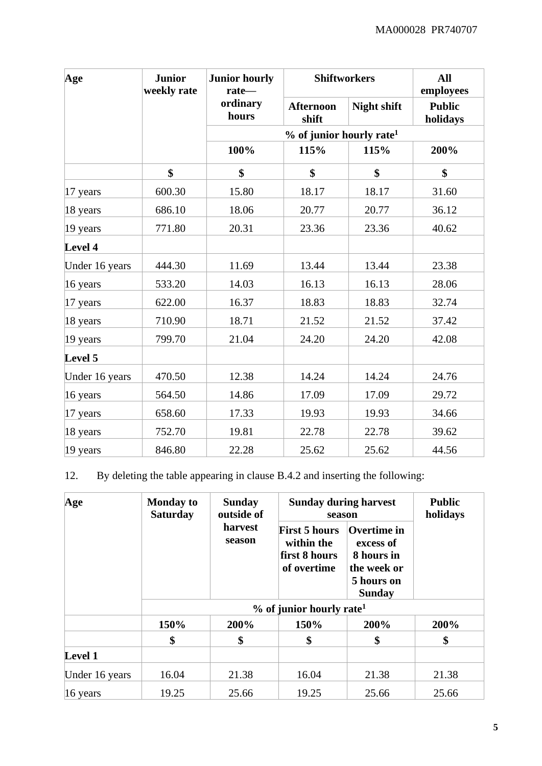| Age                 | <b>Junior</b><br>weekly rate | <b>Junior hourly</b><br>rate- | <b>Shiftworkers</b>                    |                    | <b>All</b><br>employees   |
|---------------------|------------------------------|-------------------------------|----------------------------------------|--------------------|---------------------------|
|                     |                              | ordinary<br>hours             | <b>Afternoon</b><br>shift              | <b>Night shift</b> | <b>Public</b><br>holidays |
|                     |                              |                               | $%$ of junior hourly rate <sup>1</sup> |                    |                           |
|                     |                              | 100%                          | 115%                                   | 115%               | 200%                      |
|                     | \$                           | \$                            | \$                                     | \$                 | \$                        |
| $ 17 \rangle$ years | 600.30                       | 15.80                         | 18.17                                  | 18.17              | 31.60                     |
| 18 years            | 686.10                       | 18.06                         | 20.77                                  | 20.77              | 36.12                     |
| 19 years            | 771.80                       | 20.31                         | 23.36                                  | 23.36              | 40.62                     |
| Level 4             |                              |                               |                                        |                    |                           |
| Under 16 years      | 444.30                       | 11.69                         | 13.44                                  | 13.44              | 23.38                     |
| 16 years            | 533.20                       | 14.03                         | 16.13                                  | 16.13              | 28.06                     |
| $17$ years          | 622.00                       | 16.37                         | 18.83                                  | 18.83              | 32.74                     |
| 18 years            | 710.90                       | 18.71                         | 21.52                                  | 21.52              | 37.42                     |
| 19 years            | 799.70                       | 21.04                         | 24.20                                  | 24.20              | 42.08                     |
| Level 5             |                              |                               |                                        |                    |                           |
| Under 16 years      | 470.50                       | 12.38                         | 14.24                                  | 14.24              | 24.76                     |
| 16 years            | 564.50                       | 14.86                         | 17.09                                  | 17.09              | 29.72                     |
| $17$ years          | 658.60                       | 17.33                         | 19.93                                  | 19.93              | 34.66                     |
| $18$ years          | 752.70                       | 19.81                         | 22.78                                  | 22.78              | 39.62                     |
| 19 years            | 846.80                       | 22.28                         | 25.62                                  | 25.62              | 44.56                     |

12. By deleting the table appearing in clause B.4.2 and inserting the following:

| Age<br><b>Saturday</b> | <b>Monday to</b> | <b>Sunday</b><br>outside of | <b>Sunday during harvest</b><br>season                             | <b>Public</b><br>holidays                                                            |       |  |  |
|------------------------|------------------|-----------------------------|--------------------------------------------------------------------|--------------------------------------------------------------------------------------|-------|--|--|
|                        |                  | harvest<br>season           | <b>First 5 hours</b><br>within the<br>first 8 hours<br>of overtime | Overtime in<br>excess of<br>8 hours in<br>the week or<br>5 hours on<br><b>Sunday</b> |       |  |  |
|                        |                  |                             | $\%$ of junior hourly rate <sup>1</sup>                            |                                                                                      |       |  |  |
|                        | 150%             | 200%                        | 150%                                                               | 200%                                                                                 | 200%  |  |  |
|                        | \$               | \$                          | \$                                                                 | \$                                                                                   | \$    |  |  |
| <b>Level 1</b>         |                  |                             |                                                                    |                                                                                      |       |  |  |
| Under 16 years         | 16.04            | 21.38                       | 16.04                                                              | 21.38                                                                                | 21.38 |  |  |
| 16 years               | 19.25            | 25.66                       | 19.25                                                              | 25.66                                                                                | 25.66 |  |  |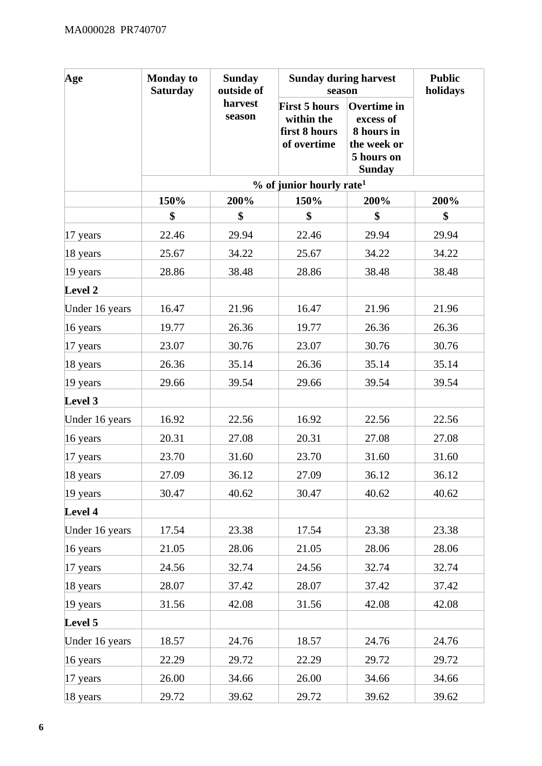| Age                 | <b>Monday to</b><br><b>Saturday</b> | <b>Sunday</b><br>outside of | <b>Sunday during harvest</b><br>season                             |                                                                                             | <b>Public</b><br>holidays |
|---------------------|-------------------------------------|-----------------------------|--------------------------------------------------------------------|---------------------------------------------------------------------------------------------|---------------------------|
|                     |                                     | harvest<br>season           | <b>First 5 hours</b><br>within the<br>first 8 hours<br>of overtime | <b>Overtime</b> in<br>excess of<br>8 hours in<br>the week or<br>5 hours on<br><b>Sunday</b> |                           |
|                     |                                     |                             | $%$ of junior hourly rate <sup>1</sup>                             |                                                                                             |                           |
|                     | 150%                                | 200%                        | 150%                                                               | 200%                                                                                        | 200%                      |
|                     | \$                                  | \$                          | \$                                                                 | \$                                                                                          | \$                        |
| $ 17 \rangle$ years | 22.46                               | 29.94                       | 22.46                                                              | 29.94                                                                                       | 29.94                     |
| 18 years            | 25.67                               | 34.22                       | 25.67                                                              | 34.22                                                                                       | 34.22                     |
| 19 years            | 28.86                               | 38.48                       | 28.86                                                              | 38.48                                                                                       | 38.48                     |
| Level 2             |                                     |                             |                                                                    |                                                                                             |                           |
| Under 16 years      | 16.47                               | 21.96                       | 16.47                                                              | 21.96                                                                                       | 21.96                     |
| 16 years            | 19.77                               | 26.36                       | 19.77                                                              | 26.36                                                                                       | 26.36                     |
| 17 years            | 23.07                               | 30.76                       | 23.07                                                              | 30.76                                                                                       | 30.76                     |
| 18 years            | 26.36                               | 35.14                       | 26.36                                                              | 35.14                                                                                       | 35.14                     |
| 19 years            | 29.66                               | 39.54                       | 29.66                                                              | 39.54                                                                                       | 39.54                     |
| Level 3             |                                     |                             |                                                                    |                                                                                             |                           |
| Under 16 years      | 16.92                               | 22.56                       | 16.92                                                              | 22.56                                                                                       | 22.56                     |
| $16$ years          | 20.31                               | 27.08                       | 20.31                                                              | 27.08                                                                                       | 27.08                     |
| $17$ years          | 23.70                               | 31.60                       | 23.70                                                              | 31.60                                                                                       | 31.60                     |
| 18 years            | 27.09                               | 36.12                       | 27.09                                                              | 36.12                                                                                       | 36.12                     |
| 19 years            | 30.47                               | 40.62                       | 30.47                                                              | 40.62                                                                                       | 40.62                     |
| Level 4             |                                     |                             |                                                                    |                                                                                             |                           |
| Under 16 years      | 17.54                               | 23.38                       | 17.54                                                              | 23.38                                                                                       | 23.38                     |
| $16$ years          | 21.05                               | 28.06                       | 21.05                                                              | 28.06                                                                                       | 28.06                     |
| $17$ years          | 24.56                               | 32.74                       | 24.56                                                              | 32.74                                                                                       | 32.74                     |
| 18 years            | 28.07                               | 37.42                       | 28.07                                                              | 37.42                                                                                       | 37.42                     |
| 19 years            | 31.56                               | 42.08                       | 31.56                                                              | 42.08                                                                                       | 42.08                     |
| Level 5             |                                     |                             |                                                                    |                                                                                             |                           |
| Under 16 years      | 18.57                               | 24.76                       | 18.57                                                              | 24.76                                                                                       | 24.76                     |
| 16 years            | 22.29                               | 29.72                       | 22.29                                                              | 29.72                                                                                       | 29.72                     |
| $17$ years          | 26.00                               | 34.66                       | 26.00                                                              | 34.66                                                                                       | 34.66                     |
| 18 years            | 29.72                               | 39.62                       | 29.72                                                              | 39.62                                                                                       | 39.62                     |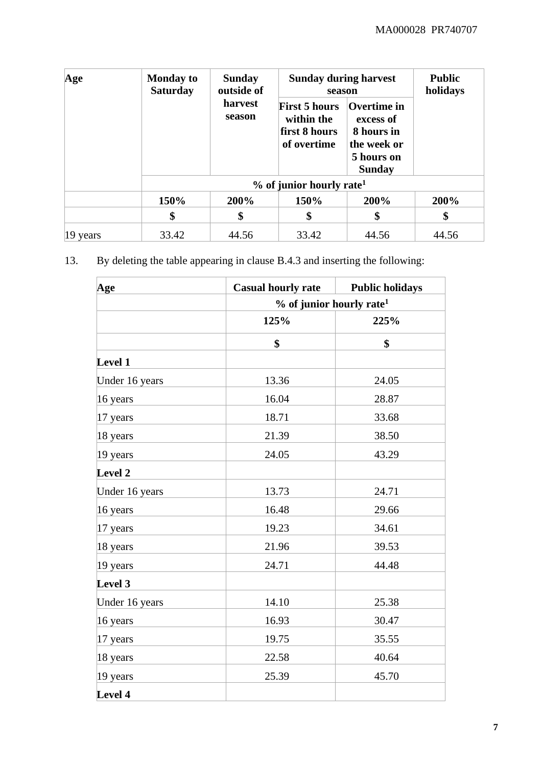| Age                 | <b>Monday to</b><br><b>Saturday</b> | <b>Sunday</b><br>outside of<br>harvest<br>season | <b>Sunday during harvest</b><br>season                             | <b>Public</b><br>holidays                                                            |       |
|---------------------|-------------------------------------|--------------------------------------------------|--------------------------------------------------------------------|--------------------------------------------------------------------------------------|-------|
|                     |                                     |                                                  | <b>First 5 hours</b><br>within the<br>first 8 hours<br>of overtime | Overtime in<br>excess of<br>8 hours in<br>the week or<br>5 hours on<br><b>Sunday</b> |       |
|                     |                                     | $\%$ of junior hourly rate <sup>1</sup>          |                                                                    |                                                                                      |       |
|                     | 150%                                | 200%                                             | 150%                                                               | 200%                                                                                 | 200%  |
|                     | \$                                  | \$                                               | \$                                                                 | \$                                                                                   | \$    |
| $ 19 \rangle$ years | 33.42                               | 44.56                                            | 33.42                                                              | 44.56                                                                                | 44.56 |

13. By deleting the table appearing in clause B.4.3 and inserting the following:

| Age            | <b>Casual hourly rate</b>            | <b>Public holidays</b> |  |  |
|----------------|--------------------------------------|------------------------|--|--|
|                | % of junior hourly rate <sup>1</sup> |                        |  |  |
|                | 125%                                 | 225%                   |  |  |
|                | \$                                   | \$                     |  |  |
| Level 1        |                                      |                        |  |  |
| Under 16 years | 13.36                                | 24.05                  |  |  |
| 16 years       | 16.04                                | 28.87                  |  |  |
| 17 years       | 18.71                                | 33.68                  |  |  |
| 18 years       | 21.39                                | 38.50                  |  |  |
| 19 years       | 24.05                                | 43.29                  |  |  |
| Level 2        |                                      |                        |  |  |
| Under 16 years | 13.73                                | 24.71                  |  |  |
| 16 years       | 16.48                                | 29.66                  |  |  |
| 17 years       | 19.23                                | 34.61                  |  |  |
| 18 years       | 21.96                                | 39.53                  |  |  |
| 19 years       | 24.71                                | 44.48                  |  |  |
| Level 3        |                                      |                        |  |  |
| Under 16 years | 14.10                                | 25.38                  |  |  |
| 16 years       | 16.93                                | 30.47                  |  |  |
| 17 years       | 19.75                                | 35.55                  |  |  |
| 18 years       | 22.58                                | 40.64                  |  |  |
| 19 years       | 25.39                                | 45.70                  |  |  |
| Level 4        |                                      |                        |  |  |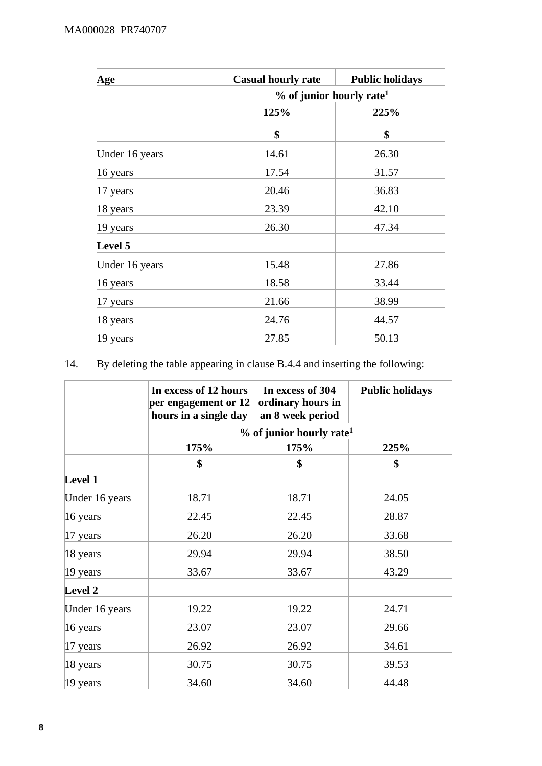| Age            | <b>Casual hourly rate</b>            | <b>Public holidays</b> |  |
|----------------|--------------------------------------|------------------------|--|
|                | % of junior hourly rate <sup>1</sup> |                        |  |
|                | 125%                                 | 225%                   |  |
|                | \$                                   | \$                     |  |
| Under 16 years | 14.61                                | 26.30                  |  |
| 16 years       | 17.54                                | 31.57                  |  |
| 17 years       | 20.46                                | 36.83                  |  |
| 18 years       | 23.39                                | 42.10                  |  |
| 19 years       | 26.30                                | 47.34                  |  |
| Level 5        |                                      |                        |  |
| Under 16 years | 15.48                                | 27.86                  |  |
| 16 years       | 18.58                                | 33.44                  |  |
| 17 years       | 21.66                                | 38.99                  |  |
| 18 years       | 24.76                                | 44.57                  |  |
| 19 years       | 27.85                                | 50.13                  |  |

## 14. By deleting the table appearing in clause B.4.4 and inserting the following:

|                      | In excess of 12 hours<br>per engagement or 12<br>hours in a single day | In excess of 304<br>ordinary hours in<br>an 8 week period | <b>Public holidays</b> |  |  |
|----------------------|------------------------------------------------------------------------|-----------------------------------------------------------|------------------------|--|--|
|                      | $%$ of junior hourly rate <sup>1</sup>                                 |                                                           |                        |  |  |
|                      | 175%<br>175%<br>225%                                                   |                                                           |                        |  |  |
|                      | \$                                                                     | \$                                                        | \$                     |  |  |
| Level 1              |                                                                        |                                                           |                        |  |  |
| Under 16 years       | 18.71                                                                  | 18.71                                                     | 24.05                  |  |  |
| 16 years             | 22.45                                                                  | 22.45                                                     | 28.87                  |  |  |
| $ 17 \text{ years} $ | 26.20                                                                  | 26.20                                                     | 33.68                  |  |  |
| $ 18 \text{ years} $ | 29.94                                                                  | 29.94                                                     | 38.50                  |  |  |
| $ 19 \rangle$ years  | 33.67                                                                  | 33.67                                                     | 43.29                  |  |  |
| Level 2              |                                                                        |                                                           |                        |  |  |
| Under 16 years       | 19.22                                                                  | 19.22                                                     | 24.71                  |  |  |
| 16 years             | 23.07                                                                  | 23.07                                                     | 29.66                  |  |  |
| $ 17 \text{ years} $ | 26.92                                                                  | 26.92                                                     | 34.61                  |  |  |
| 18 years             | 30.75                                                                  | 30.75                                                     | 39.53                  |  |  |
| 19 years             | 34.60                                                                  | 34.60                                                     | 44.48                  |  |  |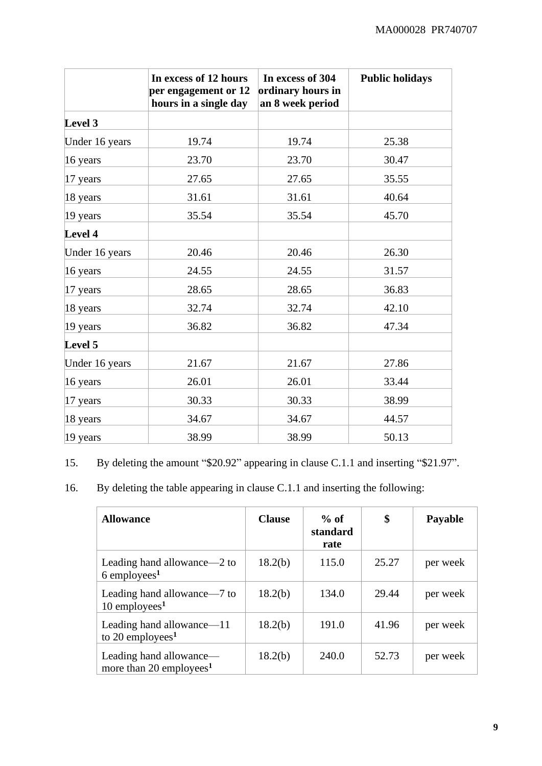|                      | In excess of 12 hours<br>per engagement or 12<br>hours in a single day | In excess of 304<br>ordinary hours in<br>an 8 week period | <b>Public holidays</b> |
|----------------------|------------------------------------------------------------------------|-----------------------------------------------------------|------------------------|
| Level 3              |                                                                        |                                                           |                        |
| Under 16 years       | 19.74                                                                  | 19.74                                                     | 25.38                  |
| $16$ years           | 23.70                                                                  | 23.70                                                     | 30.47                  |
| 17 years             | 27.65                                                                  | 27.65                                                     | 35.55                  |
| 18 years             | 31.61                                                                  | 31.61                                                     | 40.64                  |
| 19 years             | 35.54                                                                  | 35.54                                                     | 45.70                  |
| Level 4              |                                                                        |                                                           |                        |
| Under 16 years       | 20.46                                                                  | 20.46                                                     | 26.30                  |
| 16 years             | 24.55                                                                  | 24.55                                                     | 31.57                  |
| 17 years             | 28.65                                                                  | 28.65                                                     | 36.83                  |
| 18 years             | 32.74                                                                  | 32.74                                                     | 42.10                  |
| 19 years             | 36.82                                                                  | 36.82                                                     | 47.34                  |
| Level 5              |                                                                        |                                                           |                        |
| Under 16 years       | 21.67                                                                  | 21.67                                                     | 27.86                  |
| $16$ years           | 26.01                                                                  | 26.01                                                     | 33.44                  |
| $ 17 \text{ years} $ | 30.33                                                                  | 30.33                                                     | 38.99                  |
| 18 years             | 34.67                                                                  | 34.67                                                     | 44.57                  |
| 19 years             | 38.99                                                                  | 38.99                                                     | 50.13                  |

15. By deleting the amount "\$20.92" appearing in clause C.1.1 and inserting "\$21.97".

16. By deleting the table appearing in clause C.1.1 and inserting the following:

| <b>Allowance</b>                                               | <b>Clause</b> | $%$ of<br>standard<br>rate | \$    | Payable  |
|----------------------------------------------------------------|---------------|----------------------------|-------|----------|
| Leading hand allowance—2 to<br>6 employees <sup>1</sup>        | 18.2(b)       | 115.0                      | 25.27 | per week |
| Leading hand allowance—7 to<br>10 employees <sup>1</sup>       | 18.2(b)       | 134.0                      | 29.44 | per week |
| Leading hand allowance—11<br>to 20 employees <sup>1</sup>      | 18.2(b)       | 191.0                      | 41.96 | per week |
| Leading hand allowance—<br>more than 20 employees <sup>1</sup> | 18.2(b)       | 240.0                      | 52.73 | per week |